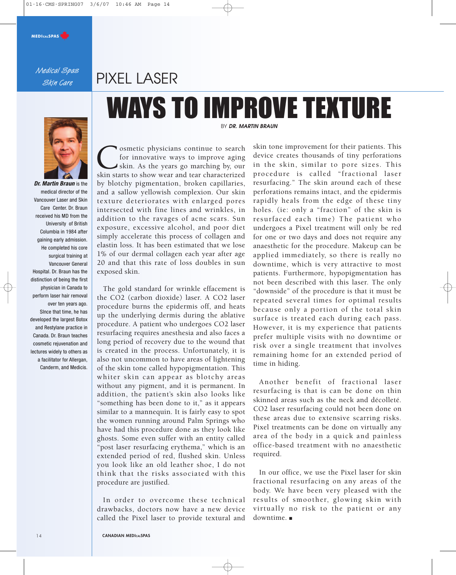#### **MEDICALSPAS**

Medical Spas Skin Care

## PIXEL LASER

# WAYS TO IMPROVE TEXTURE



**Dr. Martin Braun** is the medical director of the Vancouver Laser and Skin Care Center. Dr. Braun received his MD from the University of British Columbia in 1984 after gaining early admission. He completed his core surgical training at Vancouver General Hospital. Dr. Braun has the distinction of being the first physician in Canada to perform laser hair removal over ten years ago. SInce that time, he has developed the largest Botox and Restylane practice in Canada. Dr. Braun teaches cosmetic rejuvenation and lectures widely to others as a facilitator for Allergan, Canderm, and Medicis.

BY **DR. MARTIN BRAUN**

Cosmetic physicians continue to search<br>for innovative ways to improve aging<br>skin. As the years go marching by, our<br>skin starts to show wear and tear characterized for innovative ways to improve aging I skin. As the years go marching by, our by blotchy pigmentation, broken capillaries, and a sallow yellowish complexion. Our skin texture deteriorates with enlarged pores intersected with fine lines and wrinkles, in addition to the ravages of acne scars. Sun exposure, excessive alcohol, and poor diet simply accelerate this process of collagen and elastin loss. It has been estimated that we lose 1% of our dermal collagen each year after age 20 and that this rate of loss doubles in sun exposed skin.

The gold standard for wrinkle effacement is the CO2 (carbon dioxide) laser. A CO2 laser procedure burns the epidermis off, and heats up the underlying dermis during the ablative procedure. A patient who undergoes CO2 laser resurfacing requires anesthesia and also faces a long period of recovery due to the wound that is created in the process. Unfortunately, it is also not uncommon to have areas of lightening of the skin tone called hypopigmentation. This whiter skin can appear as blotchy areas without any pigment, and it is permanent. In addition, the patient's skin also looks like "something has been done to it," as it appears similar to a mannequin. It is fairly easy to spot the women running around Palm Springs who have had this procedure done as they look like ghosts. Some even suffer with an entity called "post laser resurfacing erythema," which is an extended period of red, flushed skin. Unless you look like an old leather shoe, I do not think that the risks associated with this procedure are justified.

In order to overcome these technical drawbacks, doctors now have a new device called the Pixel laser to provide textural and

skin tone improvement for their patients. This device creates thousands of tiny perforations in the skin, similar to pore sizes. This procedure is called "fractional laser resurfacing." The skin around each of these perforations remains intact, and the epidermis rapidly heals from the edge of these tiny holes. (ie: only a "fraction" of the skin is resurfaced each time) The patient who undergoes a Pixel treatment will only be red for one or two days and does not require any anaesthetic for the procedure. Makeup can be applied immediately, so there is really no downtime, which is very attractive to most patients. Furthermore, hypopigmentation has not been described with this laser. The only "downside" of the procedure is that it must be repeated several times for optimal results because only a portion of the total skin surface is treated each during each pass. However, it is my experience that patients prefer multiple visits with no downtime or risk over a single treatment that involves remaining home for an extended period of time in hiding.

Another benefit of fractional laser resurfacing is that is can be done on thin skinned areas such as the neck and décolleté. CO2 laser resurfacing could not been done on these areas due to extensive scarring risks. Pixel treatments can be done on virtually any area of the body in a quick and painless office-based treatment with no anaesthetic required.

In our office, we use the Pixel laser for skin fractional resurfacing on any areas of the body. We have been very pleased with the results of smoother, glowing skin with virtually no risk to the patient or any downtime. ■